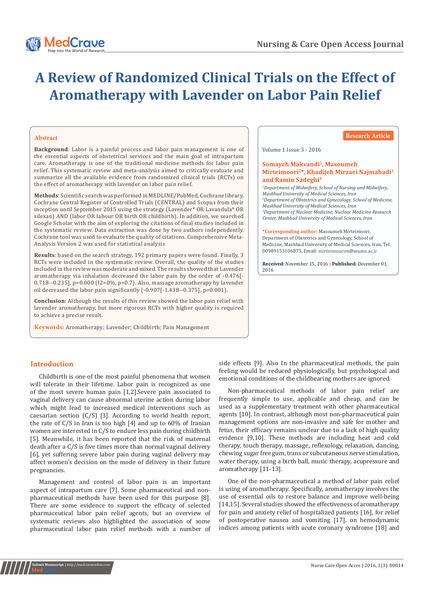

# **A Review of Randomized Clinical Trials on the Effect of Aromatherapy with Lavender on Labor Pain Relief**

#### **Abstract**

**Background**: Labor is a painful process and labor pain management is one of the essential aspects of obstetrical services and the main goal of intrapartum care. Aromatherapy is one of the traditional medicine methods for labor pain relief. This systematic review and meta-analysis aimed to critically evaluate and summarize all the available evidence from randomized clinical trials (RCTs) on the effect of aromatherapy with lavender on labor pain relief.

**Methods**: Scientific search was performed in MEDLINE/PubMed, Cochrane library, Cochrane Central Register of Controlled Trials (CENTRAL) and Scopus from their inception until September 2015 using the strategy (Lavender\* OR Lavandula\* OR silexan) AND (labor OR labour OR birth OR childbirth). In addition, we searched Google Scholar with the aim of exploring the citations of final studies included in the systematic review. Data extraction was done by two authors independently. Cochrane tool was used to evaluate the quality of citations. Comprehensive Meta-Analysis Version 2 was used for statistical analysis

**Results**: based on the search strategy, 192 primary papers were found. Finally, 3 RCTs were included in the systematic review. Overall, the quality of the studies included in the review was moderate and mixed. The results showed that Lavender aromatherapy via inhalation decreased the labor pain by the order of -0.476[- 0.718--0.235], p=0.000 (I2=0%, p=0.7). Also, massage aromatherapy by lavender oil decreased the labor pain significantly (-0.907[-1.438--0.375], p=0.001).

**Conclusion**: Although the results of this review showed the labor pain relief with lavender aromatherapy, but more rigorous RCTs with higher quality is required to achieve a precise result.

**Keywords:** Aromatherapy; Lavender; Childbirth; Pain Management

#### **Research Article**

#### Volume 1 Issue 3 - 2016

#### Somaveh Makvandi<sup>1</sup>, Masoumeh Mirteimoori<sup>2\*</sup>, Khadijeh Mirzaei Najmabadi<sup>1</sup> and Ramin Sadeghi<sup>3</sup>

*1 Department of Midwifery, School of Nursing and Midwifery, Mashhad University of Medical Sciences, Iran 2 Department of Obstetrics and Gynecology, School of Medicine, Mashhad University of Medical Sciences, Iran 3 Department of Nuclear Medicine, Nuclear Medicine Research Center, Mashhad University of Medical Sciences, Iran*

**\*Corresponding author:** Masoumeh Mirteimoori, Department of Obstetrics and Gynecology, School of Medicine, Mashhad University of Medical Sciences, Iran, Tel: 00989153106875, Email: mirteimourim@mums.ac.ir

**Received:** November 15, 2016 **| Published:** December 01, 2016

# **Introduction**

Childbirth is one of the most painful phenomena that women will tolerate in their lifetime. Labor pain is recognized as one of the most severe human pain [1,2].Severe pain associated to vaginal delivery can cause abnormal uterine action during labor which might lead to increased medical interventions such as caesarian section (C/S) [3]. According to world health report, the rate of C/S in Iran is too high [4] and up to 60% of Iranian women are interested in C/S to endure less pain during childbirth [5]. Meanwhile, it has been reported that the risk of maternal death after a C/S is five times more than normal vaginal delivery [6], yet suffering severe labor pain during vaginal delivery may affect women's decision on the mode of delivery in their future pregnancies.

Management and control of labor pain is an important aspect of intrapartum care [7]. Some pharmaceutical and nonpharmaceutical methods have been used for this purpose [8]. There are some evidence to support the efficacy of selected pharmaceutical labor pain relief agents, but an overview of systematic reviews also highlighted the association of some pharmaceutical labor pain relief methods with a number of

side effects [9]. Also In the pharmaceutical methods, the pain feeling would be reduced physiologically, but psychological and emotional conditions of the childbearing mothers are ignored.

Non-pharmaceutical methods of labor pain relief are frequently simple to use, applicable and cheap, and can be used as a supplementary treatment with other pharmaceutical agents [10]. In contrast, although most non-pharmaceutical pain management options are non-invasive and safe for mother and fetus, their efficacy remains unclear due to a lack of high quality evidence [9,10]. These methods are including heat and cold therapy, touch therapy, massage, reflexology, relaxation, dancing, chewing sugar free gum, trans or subcutaneous nerve stimulation, water therapy, using a birth ball, music therapy, acupressure and aromatherapy [11-13].

One of the non-pharmaceutical a method of labor pain relief is using of aromatherapy. Specifically, aromatherapy involves the use of essential oils to restore balance and improve well-being [14,15]. Several studies showed the effectiveness of aromatherapy for pain and anxiety relief of hospitalized patients [16], for relief of postoperative nausea and vomiting [17], on hemodynamic indices among patients with acute coronary syndrome [18] and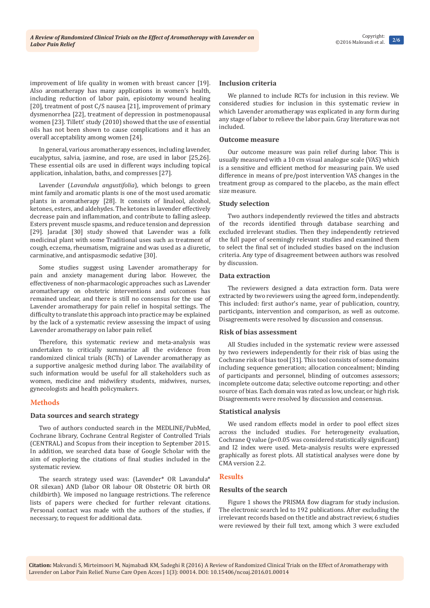improvement of life quality in women with breast cancer [19]. Also aromatherapy has many applications in women's health, including reduction of labor pain, episiotomy wound healing [20], treatment of post C/S nausea [21], improvement of primary dysmenorrhea [22], treatment of depression in postmenopausal women [23]. Tillett' study (2010) showed that the use of essential oils has not been shown to cause complications and it has an overall acceptability among women [24].

In general, various aromatherapy essences, including lavender, eucalyptus, salvia, jasmine, and rose, are used in labor [25,26]. These essential oils are used in different ways including topical application, inhalation, baths, and compresses [27].

Lavender (*Lavandula angustifolia*), which belongs to green mint family and aromatic plants is one of the most used aromatic plants in aromatherapy [28]. It consists of linalool, alcohol, ketones, esters, and aldehydes. The ketones in lavender effectively decrease pain and inflammation, and contribute to falling asleep. Esters prevent muscle spasms, and reduce tension and depression [29]. Jaradat [30] study showed that Lavender was a folk medicinal plant with some Traditional uses such as treatment of cough, eczema, rheumatism, migraine and was used as a diuretic, carminative, and antispasmodic sedative [30].

Some studies suggest using Lavender aromatherapy for pain and anxiety management during labor. However, the effectiveness of non-pharmacologic approaches such as Lavender aromatherapy on obstetric interventions and outcomes has remained unclear, and there is still no consensus for the use of Lavender aromatherapy for pain relief in hospital settings. The difficulty to translate this approach into practice may be explained by the lack of a systematic review assessing the impact of using Lavender aromatherapy on labor pain relief.

Therefore, this systematic review and meta-analysis was undertaken to critically summarize all the evidence from randomized clinical trials (RCTs) of Lavender aromatherapy as a supportive analgesic method during labor. The availability of such information would be useful for all stakeholders such as women, medicine and midwifery students, midwives, nurses, gynecologists and health policymakers.

# **Methods**

# **Data sources and search strategy**

Two of authors conducted search in the MEDLINE/PubMed, Cochrane library, Cochrane Central Register of Controlled Trials (CENTRAL) and Scopus from their inception to September 2015. In addition, we searched data base of Google Scholar with the aim of exploring the citations of final studies included in the systematic review.

The search strategy used was: (Lavender\* OR Lavandula\* OR silexan) AND (labor OR labour OR Obstetric OR birth OR childbirth). We imposed no language restrictions. The reference lists of papers were checked for further relevant citations. Personal contact was made with the authors of the studies, if necessary, to request for additional data.

# **Inclusion criteria**

We planned to include RCTs for inclusion in this review. We considered studies for inclusion in this systematic review in which Lavender aromatherapy was explicated in any form during any stage of labor to relieve the labor pain. Gray literature was not included.

#### **Outcome measure**

Our outcome measure was pain relief during labor. This is usually measured with a 10 cm visual analogue scale (VAS) which is a sensitive and efficient method for measuring pain. We used difference in means of pre/post intervention VAS changes in the treatment group as compared to the placebo, as the main effect size measure.

# **Study selection**

Two authors independently reviewed the titles and abstracts of the records identified through database searching and excluded irrelevant studies. Then they independently retrieved the full paper of seemingly relevant studies and examined them to select the final set of included studies based on the inclusion criteria. Any type of disagreement between authors was resolved by discussion.

# **Data extraction**

The reviewers designed a data extraction form. Data were extracted by two reviewers using the agreed form, independently. This included: first author's name, year of publication, country, participants, intervention and comparison, as well as outcome. Disagreements were resolved by discussion and consensus.

#### **Risk of bias assessment**

All Studies included in the systematic review were assessed by two reviewers independently for their risk of bias using the Cochrane risk of bias tool [31]. This tool consists of some domains including sequence generation; allocation concealment; blinding of participants and personnel, blinding of outcomes assessors; incomplete outcome data; selective outcome reporting; and other source of bias. Each domain was rated as low, unclear, or high risk. Disagreements were resolved by discussion and consensus.

#### **Statistical analysis**

We used random effects model in order to pool effect sizes across the included studies. For heterogeneity evaluation, Cochrane Q value (p<0.05 was considered statistically significant) and I2 index were used. Meta-analysis results were expressed graphically as forest plots. All statistical analyses were done by CMA version 2.2.

# **Results**

#### **Results of the search**

Figure 1 shows the PRISMA flow diagram for study inclusion. The electronic search led to 192 publications. After excluding the irrelevant records based on the title and abstract review, 6 studies were reviewed by their full text, among which 3 were excluded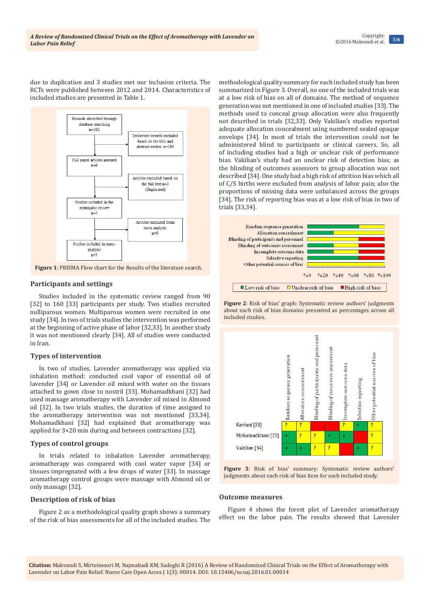due to duplication and 3 studies met our inclusion criteria. The RCTs were published between 2012 and 2014. Characteristics of included studies are presented in Table 1.



# **Participants and settings**

Studies included in the systematic review ranged from 90 [32] to 160 [33] participants per study. Two studies recruited nulliparous women. Multiparous women were recruited in one study [34]. In two of trials studies the intervention was performed at the beginning of active phase of labor [32,33]. In another study it was not mentioned clearly [34]. All of studies were conducted in Iran.

# **Types of intervention**

In two of studies, Lavender aromatherapy was applied via inhalation method: conducted cool vapor of essential oil of lavender [34] or Lavender oil mixed with water on the tissues attached to gown close to nostril [33]. Mohamadkhani [32] had used massage aromatherapy with Lavender oil mixed in Almond oil [32]. In two trials studies, the duration of time assigned to the aromatherapy intervention was not mentioned [33,34]. Mohamadkhani [32] had explained that aromatherapy was applied for 3×20 min during and between contractions [32].

# **Types of control groups**

In trials related to inhalation Lavender aromatherapy, aromatherapy was compared with cool water vapor [34] or tissues impregnated with a few drops of water [33]. In massage aromatherapy control groups were massage with Almond oil or only massage [32].

# **Description of risk of bias**

Figure 2 as a methodological quality graph shows a summary of the risk of bias assessments for all of the included studies. The methodological quality summary for each included study has been summarized in Figure 3. Overall, no one of the included trials was at a low risk of bias on all of domains. The method of sequence generation was not mentioned in one of included studies [33]. The methods used to conceal group allocation were also frequently not described in trials [32,33]. Only Vakilian's studies reported adequate allocation concealment using numbered sealed opaque envelops [34]. In most of trials the intervention could not be administered blind to participants or clinical careers. So, all of including studies had a high or unclear risk of performance bias. Vakilian's study had an unclear risk of detection bias; as the blinding of outcomes assessors to group allocation was not described [34]. One study had a high risk of attrition bias which all of C/S births were excluded from analysis of labor pain; also the proportions of missing data were unbalanced across the groups [34]. The risk of reporting bias was at a low risk of bias in two of trials [33,34].



**Figure 2**: Risk of bias' graph: Systematic review authors' judgments about each risk of bias domains presented as percentages across all included studies.



**Figure 3**: Risk of bias' summary: Systematic review authors' judgments about each risk of bias item for each included study.

#### **Outcome measures**

Figure 4 shows the forest plot of Lavender aromatherapy effect on the labor pain. The results showed that Lavender

**Citation:** Makvandi S, Mirteimoori M, Najmabadi KM, Sadeghi R (2016) A Review of Randomized Clinical Trials on the Effect of Aromatherapy with Lavender on Labor Pain Relief. Nurse Care Open Acces J 1(3): 00014. DOI: [10.15406/ncoaj.2016.01.00014](http://dx.doi.org/10.15406/ncoaj.2016.01.00014
)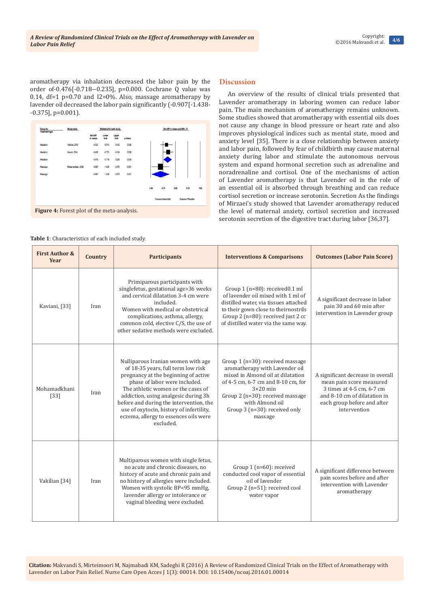# **4/6** Copyright: ©2016 Makvandi et al.

aromatherapy via inhalation decreased the labor pain by the order of-0.476[-0.718--0.235], p=0.000. Cochrane Q value was 0.14,  $df=1$  p=0.70 and I2=0%. Also, massage aromatherapy by lavender oil decreased the labor pain significantly (-0.907[-1.438-  $-0.375$ ], p= $0.001$ ).

| Group by<br>Treatment type                         | Studyname           | Statistics for each study |                |                |         | Std diff in means and 95% CI               |  |  |
|----------------------------------------------------|---------------------|---------------------------|----------------|----------------|---------|--------------------------------------------|--|--|
|                                                    |                     | Std diff<br>in means      | Lower<br>limit | Upper<br>limit | p-Value |                                            |  |  |
| Inhalation                                         | Vakilian, 2012      | $-0.533$                  | $-0.913$       | $-0.153$       | 0006    |                                            |  |  |
| Inhalation                                         | Kaiani, 2014        | $-0.438$                  | $-0.751$       | $-0.124$       | 0.006   |                                            |  |  |
| Irhalation                                         |                     | $-0.476$                  | $-0.718$       | $-0.235$       | 0000    |                                            |  |  |
| Massage                                            | Mohampolitani, 2008 | $-0.907$                  | $-1.438$       | $-0.375$       | 0.001   |                                            |  |  |
| Massage                                            |                     | $-0.907$                  | $-1,438$       | $-0.375$       | 0001    |                                            |  |  |
|                                                    |                     |                           |                |                |         | 0.75<br>$-1.50$<br>$-0.75$<br>0.00<br>1.50 |  |  |
|                                                    |                     |                           |                |                |         | <b>Favours Lavender</b><br>Fayours Placebo |  |  |
| <b>Figure 4:</b> Forest plot of the meta-analysis. |                     |                           |                |                |         |                                            |  |  |

#### **Table 1**: Characteristics of each included study.

# **Discussion**

An overview of the results of clinical trials presented that Lavender aromatherapy in laboring women can reduce labor pain. The main mechanism of aromatherapy remains unknown. Some studies showed that aromatherapy with essential oils does not cause any change in blood pressure or heart rate and also improves physiological indices such as mental state, mood and anxiety level [35]. There is a close relationship between anxiety and labor pain, followed by fear of childbirth may cause maternal anxiety during labor and stimulate the autonomous nervous system and expand hormonal secretion such as adrenaline and noradrenaline and cortisol. One of the mechanisms of action of Lavender aromatherapy is that Lavender oil in the role of an essential oil is absorbed through breathing and can reduce cortisol secretion or increase serotonin. Secretion As the findings of Mirzaei's study showed that Lavender aromatherapy reduced the level of maternal anxiety, cortisol secretion and increased serotonin secretion of the digestive tract during labor [36,37].

| <b>First Author &amp;</b><br>Year | Country | <b>Participants</b>                                                                                                                                                                                                                                                                                                                                                          | <b>Interventions &amp; Comparisons</b>                                                                                                                                                                                                                                | <b>Outcomes (Labor Pain Score)</b>                                                                                                                                        |
|-----------------------------------|---------|------------------------------------------------------------------------------------------------------------------------------------------------------------------------------------------------------------------------------------------------------------------------------------------------------------------------------------------------------------------------------|-----------------------------------------------------------------------------------------------------------------------------------------------------------------------------------------------------------------------------------------------------------------------|---------------------------------------------------------------------------------------------------------------------------------------------------------------------------|
| Kaviani, [33]                     | Iran    | Primiparous participants with<br>singlefetus, gestational age>36 weeks<br>and cervical dilatation 3-4 cm were<br>included.<br>Women with medical or obstetrical<br>complications, asthma, allergy,<br>common cold, elective C/S, the use of<br>other sedative methods were excluded.                                                                                         | Group 1 (n=80): received0.1 ml<br>of lavender oil mixed with 1 ml of<br>distilled water, via tissues attached<br>to their gown close to theirnostrils<br>Group 2 (n=80): received just 2 cc<br>of distilled water via the same way.                                   | A significant decrease in labor<br>pain 30 and 60 min after<br>intervention in Lavender group                                                                             |
| Mohamadkhani<br>$[33]$            | Iran    | Nulliparous Iranian women with age<br>of 18-35 years, full term low risk<br>pregnancy at the beginning of active<br>phase of labor were included.<br>The athletic women or the cases of<br>addiction, using analgesic during 3h<br>before and during the intervention, the<br>use of oxytocin, history of infertility,<br>eczema, allergy to essences oils were<br>excluded. | Group $1$ (n=30): received massage<br>aromatherapy with Lavender oil<br>mixed in Almond oil at dilatation<br>of 4-5 cm, 6-7 cm and 8-10 cm, for<br>$3\times20$ min<br>Group 2 (n=30): received massage<br>with Almond oil<br>Group 3 (n=30): received only<br>massage | A significant decrease in overall<br>mean pain score measured<br>3 times at 4-5 cm, 6-7 cm<br>and 8-10 cm of dilatation in<br>each group before and after<br>intervention |
| Vakilian [34]                     | Iran    | Multiparous women with single fetus,<br>no acute and chronic diseases, no<br>history of acute and chronic pain and<br>no history of allergies were included.<br>Women with systolic BP<95 mmHg,<br>lavender allergy or intolerance or<br>vaginal bleeding were excluded.                                                                                                     | Group $1$ (n=60): received<br>conducted cool vapor of essential<br>oil of lavender<br>Group 2 (n=51): received cool<br>water vapor                                                                                                                                    | A significant difference between<br>pain scores before and after<br>intervention with Lavender<br>aromatherapy                                                            |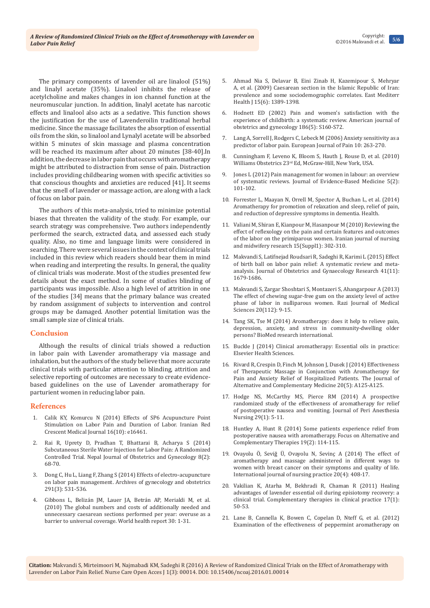The primary components of lavender oil are linalool (51%) and linalyl acetate (35%). Linalool inhibits the release of acetylcholine and makes changes in ion channel function at the neuromuscular junction. In addition, linalyl acetate has narcotic effects and linalool also acts as a sedative. This function shows the justification for the use of Lavenderoilin traditional herbal medicine. Since the massage facilitates the absorption of essential oils from the skin, so linalool and Lynalyl acetate will be absorbed within 5 minutes of skin massage and plasma concentration will be reached its maximum after about 20 minutes [38-40].In addition, the decrease in labor pain that occurs with aromatherapy might be attributed to distraction from sense of pain. Distraction includes providing childbearing women with specific activities so that conscious thoughts and anxieties are reduced [41]. It seems that the smell of lavender or massage action, are along with a lack of focus on labor pain.

The authors of this meta-analysis, tried to minimize potential biases that threaten the validity of the study. For example, our search strategy was comprehensive. Two authors independently performed the search, extracted data, and assessed each study quality. Also, no time and language limits were considered in searching. There were several issues in the context of clinical trials included in this review which readers should bear them in mind when reading and interpreting the results. In general, the quality of clinical trials was moderate. Most of the studies presented few details about the exact method. In some of studies blinding of participants was impossible. Also a high level of attrition in one of the studies [34] means that the primary balance was created by random assignment of subjects to intervention and control groups may be damaged. Another potential limitation was the small sample size of clinical trials.

#### **Conclusion**

Although the results of clinical trials showed a reduction in labor pain with Lavender aromatherapy via massage and inhalation, but the authors of the study believe that more accurate clinical trials with particular attention to blinding, attrition and selective reporting of outcomes are necessary to create evidencebased guidelines on the use of Lavender aromatherapy for parturient women in reducing labor pain.

#### **References**

- 1. [Calik KY, Komurcu N \(2014\) Effects of SP6 Acupuncture Point](https://www.ncbi.nlm.nih.gov/pubmed/25558386/)  [Stimulation on Labor Pain and Duration of Labor. Iranian Red](https://www.ncbi.nlm.nih.gov/pubmed/25558386/)  [Crescent Medical Journal 16\(10\): e16461.](https://www.ncbi.nlm.nih.gov/pubmed/25558386/)
- 2. [Rai R, Uprety D, Pradhan T, Bhattarai B, Acharya S \(2014\)](http://nepjol.info/nepal/index.php/NJOG/article/view/9777/8027)  [Subcutaneous Sterile Water Injection for Labor Pain: A Randomized](http://nepjol.info/nepal/index.php/NJOG/article/view/9777/8027)  [Controlled Trial. Nepal Journal of Obstetrics and Gynecology 8\(2\):](http://nepjol.info/nepal/index.php/NJOG/article/view/9777/8027)  [68-70.](http://nepjol.info/nepal/index.php/NJOG/article/view/9777/8027)
- 3. [Dong C, Hu L, Liang F, Zhang S \(2014\) Effects of electro-acupuncture](http://link.springer.com/article/10.1007/s00404-014-3427-x)  [on labor pain management. Archives of gynecology and obstetrics](http://link.springer.com/article/10.1007/s00404-014-3427-x)  [291\(3\): 531-536.](http://link.springer.com/article/10.1007/s00404-014-3427-x)
- 4. [Gibbons L, Belizán JM, Lauer JA, Betrán AP, Merialdi M, et al.](http://www.who.int/healthsystems/topics/financing/healthreport/30C-sectioncosts.pdf)  [\(2010\) The global numbers and costs of additionally needed and](http://www.who.int/healthsystems/topics/financing/healthreport/30C-sectioncosts.pdf)  [unnecessary caesarean sections performed per year: overuse as a](http://www.who.int/healthsystems/topics/financing/healthreport/30C-sectioncosts.pdf)  [barrier to universal coverage. World health report 30: 1-31.](http://www.who.int/healthsystems/topics/financing/healthreport/30C-sectioncosts.pdf)
- 5. [Ahmad Nia S, Delavar B, Eini Zinab H, Kazemipour S, Mehryar](https://www.ncbi.nlm.nih.gov/pubmed/20218129)  [A, et al. \(2009\) Caesarean section in the Islamic Republic of Iran:](https://www.ncbi.nlm.nih.gov/pubmed/20218129)  [prevalence and some sociodemographic correlates. East Mediterr](https://www.ncbi.nlm.nih.gov/pubmed/20218129)  [Health J 15\(6\): 1389-1398.](https://www.ncbi.nlm.nih.gov/pubmed/20218129)
- 6. [Hodnett ED \(2002\) Pain and women's satisfaction with the](https://www.ncbi.nlm.nih.gov/pubmed/?term=12011880)  [experience of childbirth: a systematic review. American journal of](https://www.ncbi.nlm.nih.gov/pubmed/?term=12011880)  [obstetrics and gynecology 186\(5\): S160-S72.](https://www.ncbi.nlm.nih.gov/pubmed/?term=12011880)
- 7. [Lang A, Sorrell J, Rodgers C, Lebeck M \(2006\) Anxiety sensitivity as a](https://www.ncbi.nlm.nih.gov/pubmed/15987671)  [predictor of labor pain. European Journal of Pain 10: 263-270.](https://www.ncbi.nlm.nih.gov/pubmed/15987671)
- 8. [Cunningham F, Leveno K, Bloom S, Hauth J, Rouse D, et al. \(2010\)](http://download.bioon.com.cn/upload/201111/23175321_1439.pdf)  Williams Obstetrics 23rd [Ed, McGraw-Hill, New York, USA.](http://download.bioon.com.cn/upload/201111/23175321_1439.pdf)
- 9. [Jones L \(2012\) Pain management for women in labour: an overview](http://onlinelibrary.wiley.com/doi/10.1111/j.1756-5391.2012.01182.x/abstract)  [of systematic reviews. Journal of Evidence-Based Medicine 5\(2\):](http://onlinelibrary.wiley.com/doi/10.1111/j.1756-5391.2012.01182.x/abstract)  [101-102.](http://onlinelibrary.wiley.com/doi/10.1111/j.1756-5391.2012.01182.x/abstract)
- 10. [Forrester L, Maayan N, Orrell M, Spector A, Buchan L, et al. \(2014\)](https://www.ncbi.nlm.nih.gov/pubmedhealth/PMH0011849/)  [Aromatherapy for promotion of relaxation and sleep, relief of pain,](https://www.ncbi.nlm.nih.gov/pubmedhealth/PMH0011849/)  [and reduction of depressive symptoms in dementia. Health.](https://www.ncbi.nlm.nih.gov/pubmedhealth/PMH0011849/)
- 11. [Valiani M, Shiran E, Kianpour M, Hasanpour M \(2010\) Reviewing the](https://www.ncbi.nlm.nih.gov/pmc/articles/PMC3208928/)  [effect of reflexology on the pain and certain features and outcomes](https://www.ncbi.nlm.nih.gov/pmc/articles/PMC3208928/)  [of the labor on the primiparous women. Iranian journal of nursing](https://www.ncbi.nlm.nih.gov/pmc/articles/PMC3208928/)  [and midwifery research 15\(Suppl1\): 302-310.](https://www.ncbi.nlm.nih.gov/pmc/articles/PMC3208928/)
- 12. [Makvandi S, Latifnejad Roudsari R, Sadeghi R, Karimi L \(2015\) Effect](https://www.ncbi.nlm.nih.gov/pubmed/26419499)  [of birth ball on labor pain relief: A systematic review and meta](https://www.ncbi.nlm.nih.gov/pubmed/26419499)[analysis. Journal of Obstetrics and Gynaecology Research 41\(11\):](https://www.ncbi.nlm.nih.gov/pubmed/26419499)  [1679-1686.](https://www.ncbi.nlm.nih.gov/pubmed/26419499)
- 13. [Makvandi S, Zargar Shoshtari S, Montazeri S, Ahangarpour A \(2013\)](http://rjms.iums.ac.ir/browse.php?a_id=2763&sid=1&slc_lang=en)  [The effect of chewing sugar-free gum on the anxiety level of active](http://rjms.iums.ac.ir/browse.php?a_id=2763&sid=1&slc_lang=en)  [phase of labor in nulliparous women. Razi Journal of Medical](http://rjms.iums.ac.ir/browse.php?a_id=2763&sid=1&slc_lang=en)  [Sciences 20\(112\): 9-15.](http://rjms.iums.ac.ir/browse.php?a_id=2763&sid=1&slc_lang=en)
- 14. Tang SK, Tse M (2014) Aromatherapy: does it help to relieve pain, depression, anxiety, and stress in community-dwelling older persons? BioMed research international.
- 15. Buckle J (2014) Clinical aromatherapy: Essential oils in practice: Elsevier Health Sciences.
- 16. [Rivard R, Crespin D, Finch M, Johnson J, Dusek J \(2014\) Effectiveness](http://online.liebertpub.com/doi/abs/10.1089/acm.2014.5333.abstract)  [of Therapeutic Massage in Conjunction with Aromatherapy for](http://online.liebertpub.com/doi/abs/10.1089/acm.2014.5333.abstract)  [Pain and Anxiety Relief of Hospitalized Patients. The Journal of](http://online.liebertpub.com/doi/abs/10.1089/acm.2014.5333.abstract)  [Alternative and Complementary Medicine 20\(5\): A125-A125.](http://online.liebertpub.com/doi/abs/10.1089/acm.2014.5333.abstract)
- 17. [Hodge NS, McCarthy MS, Pierce RM \(2014\) A prospective](https://www.ncbi.nlm.nih.gov/pubmed/24461277)  [randomized study of the effectiveness of aromatherapy for relief](https://www.ncbi.nlm.nih.gov/pubmed/24461277)  [of postoperative nausea and vomiting. Journal of Peri Anesthesia](https://www.ncbi.nlm.nih.gov/pubmed/24461277)  [Nursing 29\(1\): 5-11.](https://www.ncbi.nlm.nih.gov/pubmed/24461277)
- 18. [Huntley A, Hunt R \(2014\) Some patients experience relief from](http://onlinelibrary.wiley.com/doi/10.1111/fct.12116/abstract)  [postoperative nausea with aromatherapy. Focus on Alternative and](http://onlinelibrary.wiley.com/doi/10.1111/fct.12116/abstract)  [Complementary Therapies 19\(2\): 114-115.](http://onlinelibrary.wiley.com/doi/10.1111/fct.12116/abstract)
- 19. Ovayolu [Ö, Seviğ Ü, Ovayolu N, Sevinç A \(2014\) The effect of](http://onlinelibrary.wiley.com/doi/10.1111/ijn.12128/abstract)  [aromatherapy and massage administered in different ways to](http://onlinelibrary.wiley.com/doi/10.1111/ijn.12128/abstract)  [women with breast cancer on their symptoms and quality of life.](http://onlinelibrary.wiley.com/doi/10.1111/ijn.12128/abstract)  [International journal of nursing practice 20\(4\): 408-17.](http://onlinelibrary.wiley.com/doi/10.1111/ijn.12128/abstract)
- 20. [Vakilian K, Atarha M, Bekhradi R, Chaman R \(2011\) Healing](https://www.ncbi.nlm.nih.gov/pubmed/21168115)  [advantages of lavender essential oil during episiotomy recovery: a](https://www.ncbi.nlm.nih.gov/pubmed/21168115)  [clinical trial. Complementary therapies in clinical practice 17\(1\):](https://www.ncbi.nlm.nih.gov/pubmed/21168115)  [50-53.](https://www.ncbi.nlm.nih.gov/pubmed/21168115)
- 21. [Lane B, Cannella K, Bowen C, Copelan D, Nteff G, et al. \(2012\)](https://www.ncbi.nlm.nih.gov/pubmed/22034523)  [Examination of the effectiveness of peppermint aromatherapy on](https://www.ncbi.nlm.nih.gov/pubmed/22034523)

**Citation:** Makvandi S, Mirteimoori M, Najmabadi KM, Sadeghi R (2016) A Review of Randomized Clinical Trials on the Effect of Aromatherapy with Lavender on Labor Pain Relief. Nurse Care Open Acces J 1(3): 00014. DOI: [10.15406/ncoaj.2016.01.00014](http://dx.doi.org/10.15406/ncoaj.2016.01.00014
)